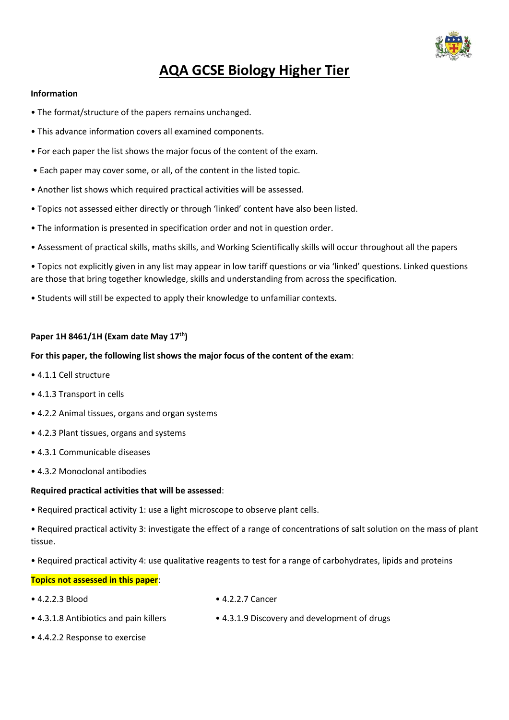

# **AQA GCSE Biology Higher Tier**

#### **Information**

- The format/structure of the papers remains unchanged.
- This advance information covers all examined components.
- For each paper the list shows the major focus of the content of the exam.
- Each paper may cover some, or all, of the content in the listed topic.
- Another list shows which required practical activities will be assessed.
- Topics not assessed either directly or through 'linked' content have also been listed.
- The information is presented in specification order and not in question order.
- Assessment of practical skills, maths skills, and Working Scientifically skills will occur throughout all the papers
- Topics not explicitly given in any list may appear in low tariff questions or via 'linked' questions. Linked questions are those that bring together knowledge, skills and understanding from across the specification.
- Students will still be expected to apply their knowledge to unfamiliar contexts.

## **Paper 1H 8461/1H (Exam date May 17th)**

## **For this paper, the following list shows the major focus of the content of the exam**:

- 4.1.1 Cell structure
- 4.1.3 Transport in cells
- 4.2.2 Animal tissues, organs and organ systems
- 4.2.3 Plant tissues, organs and systems
- 4.3.1 Communicable diseases
- 4.3.2 Monoclonal antibodies

#### **Required practical activities that will be assessed**:

• Required practical activity 1: use a light microscope to observe plant cells.

• Required practical activity 3: investigate the effect of a range of concentrations of salt solution on the mass of plant tissue.

• Required practical activity 4: use qualitative reagents to test for a range of carbohydrates, lipids and proteins

#### **Topics not assessed in this paper**:

- 
- 4.2.2.3 Blood 4.2.2.7 Cancer
- 4.3.1.8 Antibiotics and pain killers 4.3.1.9 Discovery and development of drugs
- 4.4.2.2 Response to exercise